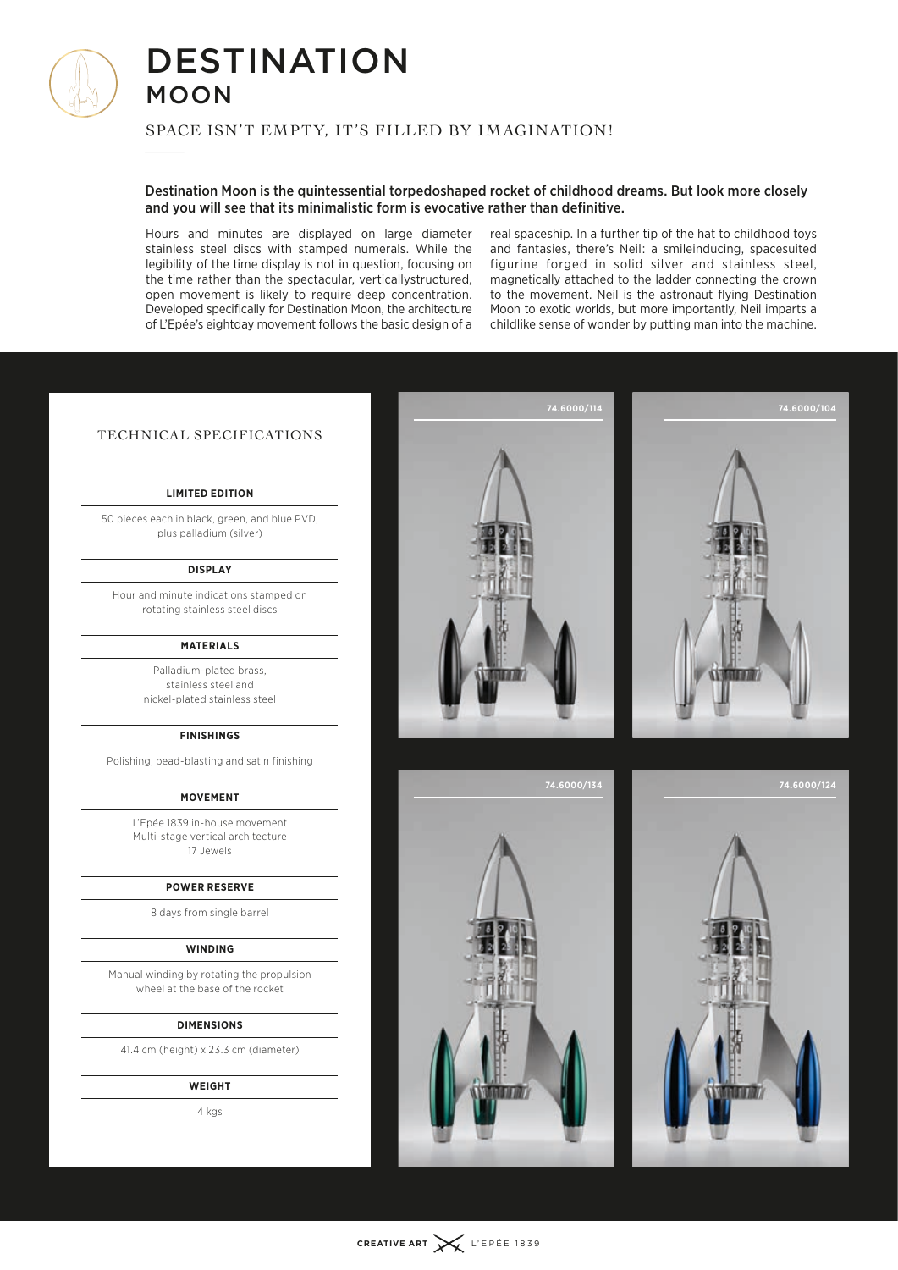

# **DESTINATION** moon MU<br>SPAC<br>——

## Space isn't empty, it's filled by imagination!

## Destination Moon is the quintessential torpedoshaped rocket of childhood dreams. But look more closely and you will see that its minimalistic form is evocative rather than definitive.

Hours and minutes are displayed on large diameter stainless steel discs with stamped numerals. While the legibility of the time display is not in question, focusing on the time rather than the spectacular, verticallystructured, open movement is likely to require deep concentration. Developed specifically for Destination Moon, the architecture of L'Epée's eightday movement follows the basic design of a real spaceship. In a further tip of the hat to childhood toys and fantasies, there's Neil : a smileinducing, spacesuited figurine forged in solid silver and stainless steel, magnetically attached to the ladder connecting the crown to the movement. Neil is the astronaut flying Destination Moon to exotic worlds, but more importantly, Neil imparts a childlike sense of wonder by putting man into the machine.

## Technical Specifications

#### **Limited edition**

50 pieces each in black, green, and blue PVD, plus palladium (silver)

### **Display**

Hour and minute indications stamped on rotating stainless steel discs

#### **Materials**

Palladium-plated brass, stainless steel and nickel-plated stainless steel

## **Finishings**

Polishing, bead-blasting and satin finishing

#### **Movement**

L'Epée 1839 in-house movement Multi-stage vertical architecture 17 Jewels

#### **Power reserve**

8 days from single barrel

#### **Winding**

Manual winding by rotating the propulsion wheel at the base of the rocket

#### **Dimensions**

41.4 cm (height) x 23.3 cm (diameter)

#### **Weight**

4 kgs